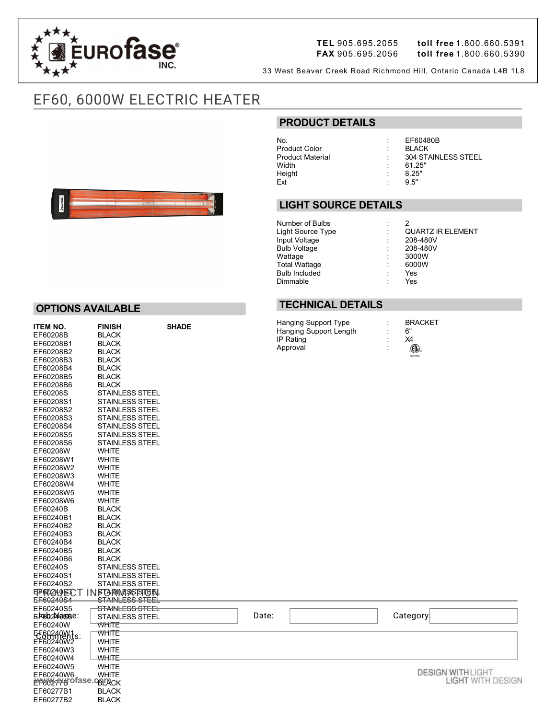

**OPTIONS AVAILABLE**

EF60208B BLACK<br>EF60208B1 BLACK EF60208B1 BLACK<br>EF60208B2 BLACK EF60208B2<br>EF60208B2<br>BLACK

 $F<sub>50200003</sub>$ 

**ITEM NO. FINISH SHADE**

**FAX** 905.695.2056 **toll free** 1.800.660.5390

33 West Beaver Creek Road Richmond Hill, Ontario Canada L4B 1L8

# EF60, 6000W ELECTRIC HEATER

# **PRODUCT DETAILS**

No. : EF60480B Product Color<br>Product Material Height : 8.25<br>Ext : 9.5"  $ext$  : 9.5"

Product Material : 304 STAINLESS STEEL<br>Width : 61.25"  $61.25"$ <br> $8.25"$ 

## **LIGHT SOURCE DETAILS**

| Number of Bulbs      | ٠              |                          |
|----------------------|----------------|--------------------------|
| Light Source Type    | t              | <b>QUARTZ IR ELEMENT</b> |
| Input Voltage        |                | 208-480V                 |
| <b>Bulb Voltage</b>  | t              | 208-480V                 |
| Wattage              | ÷              | 3000W                    |
| Total Wattage        | $\ddot{\cdot}$ | 6000W                    |
| <b>Bulb Included</b> | ÷              | Yes                      |
| Dimmable             | ۰              | Yes                      |
|                      |                |                          |

### **TECHNICAL DETAILS**

| Hanging Support Type   | ٠<br>٠ | <b>BRACKET</b> |
|------------------------|--------|----------------|
| Hanging Support Length | ٠<br>٠ | ና"             |
| IP Rating              | ٠      | X4             |
| Approval               | ٠<br>٠ | OD.            |
|                        |        | Intertek       |

| EF60277B2                            | <b>BLACK</b>                                  |       |                          |
|--------------------------------------|-----------------------------------------------|-------|--------------------------|
| EF60277B1                            | <b>BLACK</b>                                  |       |                          |
| <b>MANA PHOTASE CATACK</b>           |                                               |       | <b>LIGHT WITH DESIGN</b> |
| EF60240W6                            | <b>WHITE</b>                                  |       | <b>DESIGN WITH LIGHT</b> |
| EF60240W5                            | <b>WHITE</b>                                  |       |                          |
| EF60240W4                            | <b>WHITE</b>                                  |       |                          |
| EF60240W3                            | <b>WHITE</b>                                  |       |                          |
| EF60240W2                            | <b>WHITE</b>                                  |       |                          |
| EE8ARARAM1s:                         | WHITE                                         |       |                          |
| EF60240W                             | <b>WHITE</b>                                  |       |                          |
| EFGO 2MOSGRE:                        | <b>STAINLESS STEEL</b>                        | Date: | Category                 |
| EF60240S5                            | STAINLESS STEEL                               |       |                          |
| <b>FIP FRIGAU EJC T</b><br>EF6024054 | <b>NFORMASSFITEN</b><br><u>STAINLESS STEE</u> |       |                          |
|                                      |                                               |       |                          |
| EF60240S2                            | <b>STAINLESS STEEL</b>                        |       |                          |
| EF60240S1                            | <b>STAINLESS STEEL</b>                        |       |                          |
| EF60240S                             | STAINLESS STEEL                               |       |                          |
| EF60240B5<br>EF60240B6               | <b>BLACK</b><br><b>BLACK</b>                  |       |                          |
| EF60240B4                            | <b>BLACK</b>                                  |       |                          |
| EF60240B3                            | <b>BLACK</b>                                  |       |                          |
| EF60240B2                            | <b>BLACK</b>                                  |       |                          |
| EF60240B1                            | <b>BLACK</b>                                  |       |                          |
| EF60240B                             | <b>BLACK</b>                                  |       |                          |
| EF60208W6                            | <b>WHITE</b>                                  |       |                          |
| EF60208W5                            | <b>WHITE</b>                                  |       |                          |
| EF60208W4                            | <b>WHITE</b>                                  |       |                          |
| EF60208W3                            | <b>WHITE</b>                                  |       |                          |
| EF60208W2                            | <b>WHITE</b>                                  |       |                          |
| EF60208W1                            | <b>WHITE</b>                                  |       |                          |
| EF60208W                             | <b>WHITE</b>                                  |       |                          |
| EF60208S6                            | <b>STAINLESS STEEL</b>                        |       |                          |
| EF60208S5                            | <b>STAINLESS STEEL</b>                        |       |                          |
| EF60208S4                            | <b>STAINLESS STEEL</b>                        |       |                          |
| EF60208S3                            | <b>STAINLESS STEEL</b>                        |       |                          |
| EF60208S2                            | STAINLESS STEEL                               |       |                          |
| EF60208S1                            | <b>STAINLESS STEEL</b>                        |       |                          |
| EF60208S                             | <b>STAINLESS STEEL</b>                        |       |                          |
| EF60208B6                            | <b>BLACK</b>                                  |       |                          |
| EF60208B5                            | <b>BLACK</b>                                  |       |                          |
| EF60208B4                            | <b>BLACK</b>                                  |       |                          |
| <b>ELOOSOOP</b>                      | DLAUN                                         |       |                          |